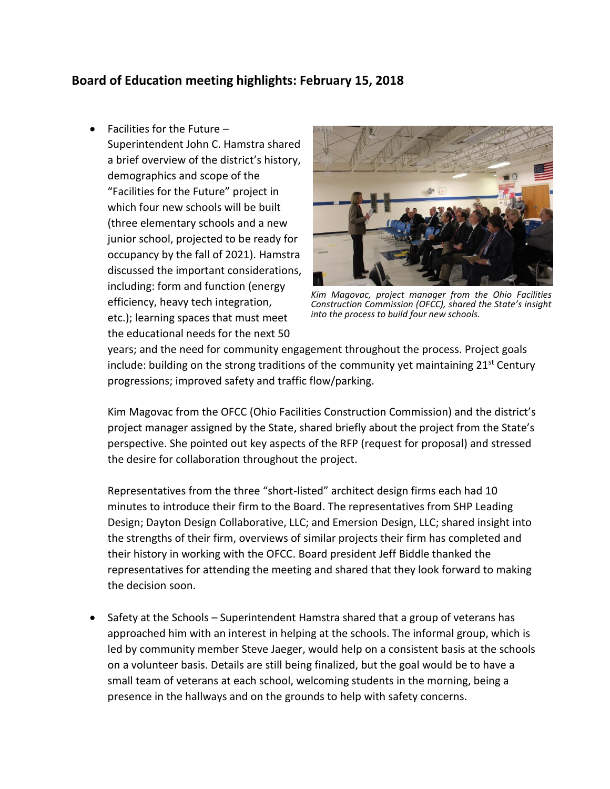## **Board of Education meeting highlights: February 15, 2018**

• Facilities for the Future –

Superintendent John C. Hamstra shared a brief overview of the district's history, demographics and scope of the "Facilities for the Future" project in which four new schools will be built (three elementary schools and a new junior school, projected to be ready for occupancy by the fall of 2021). Hamstra discussed the important considerations, including: form and function (energy efficiency, heavy tech integration, etc.); learning spaces that must meet the educational needs for the next 50



*Kim Magovac, project manager from the Ohio Facilities Construction Commission (OFCC), shared the State's insight into the process to build four new schools.*

years; and the need for community engagement throughout the process. Project goals include: building on the strong traditions of the community yet maintaining  $21<sup>st</sup>$  Century progressions; improved safety and traffic flow/parking.

Kim Magovac from the OFCC (Ohio Facilities Construction Commission) and the district's project manager assigned by the State, shared briefly about the project from the State's perspective. She pointed out key aspects of the RFP (request for proposal) and stressed the desire for collaboration throughout the project.

Representatives from the three "short-listed" architect design firms each had 10 minutes to introduce their firm to the Board. The representatives from SHP Leading Design; Dayton Design Collaborative, LLC; and Emersion Design, LLC; shared insight into the strengths of their firm, overviews of similar projects their firm has completed and their history in working with the OFCC. Board president Jeff Biddle thanked the representatives for attending the meeting and shared that they look forward to making the decision soon.

• Safety at the Schools – Superintendent Hamstra shared that a group of veterans has approached him with an interest in helping at the schools. The informal group, which is led by community member Steve Jaeger, would help on a consistent basis at the schools on a volunteer basis. Details are still being finalized, but the goal would be to have a small team of veterans at each school, welcoming students in the morning, being a presence in the hallways and on the grounds to help with safety concerns.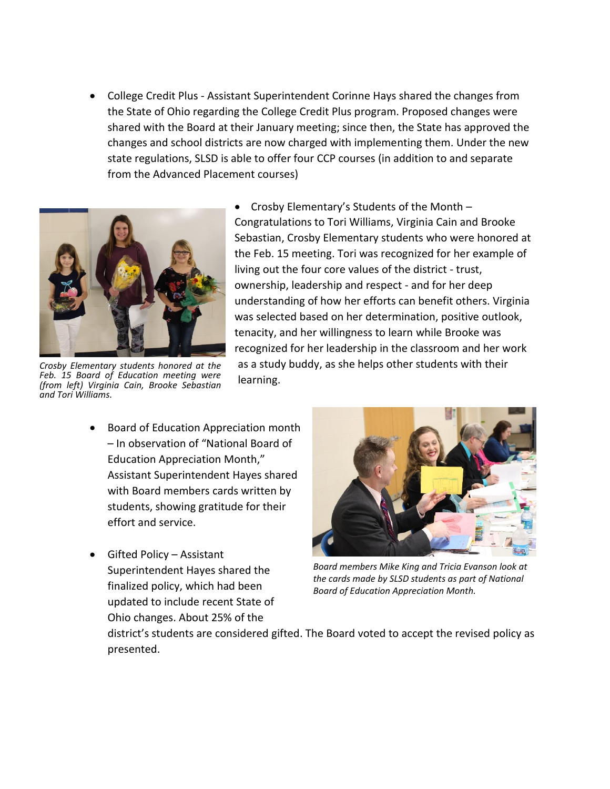• College Credit Plus - Assistant Superintendent Corinne Hays shared the changes from the State of Ohio regarding the College Credit Plus program. Proposed changes were shared with the Board at their January meeting; since then, the State has approved the changes and school districts are now charged with implementing them. Under the new state regulations, SLSD is able to offer four CCP courses (in addition to and separate from the Advanced Placement courses)



*Crosby Elementary students honored at the Feb. 15 Board of Education meeting were (from left) Virginia Cain, Brooke Sebastian and Tori Williams.*

- Crosby Elementary's Students of the Month Congratulations to Tori Williams, Virginia Cain and Brooke Sebastian, Crosby Elementary students who were honored at the Feb. 15 meeting. Tori was recognized for her example of living out the four core values of the district - trust, ownership, leadership and respect - and for her deep understanding of how her efforts can benefit others. Virginia was selected based on her determination, positive outlook, tenacity, and her willingness to learn while Brooke was recognized for her leadership in the classroom and her work as a study buddy, as she helps other students with their learning.
- Board of Education Appreciation month – In observation of "National Board of Education Appreciation Month," Assistant Superintendent Hayes shared with Board members cards written by students, showing gratitude for their effort and service.
- Gifted Policy Assistant Superintendent Hayes shared the finalized policy, which had been updated to include recent State of Ohio changes. About 25% of the



*Board members Mike King and Tricia Evanson look at the cards made by SLSD students as part of National Board of Education Appreciation Month.* 

district's students are considered gifted. The Board voted to accept the revised policy as presented.